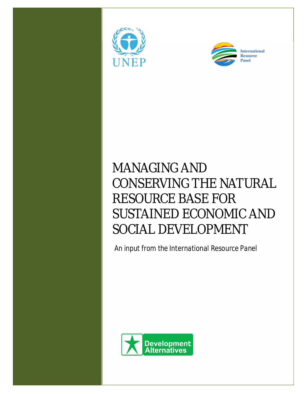



# MANAGING AND CONSERVING THE NATURAL RESOURCE BASE FOR SUSTAINED ECONOMIC AND SOCIAL DEVELOPMENT

*An input from the International Resource Panel*

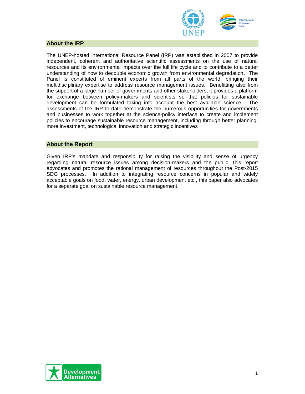

### **About the IRP**

The UNEP-hosted International Resource Panel (IRP) was established in 2007 to provide independent, coherent and authoritative scientific assessments on the use of natural resources and its environmental impacts over the full life cycle and to contribute to a better understanding of how to decouple economic growth from environmental degradation. The Panel is constituted of eminent experts from all parts of the world, bringing their multidisciplinary expertise to address resource management issues. Benefitting also from the support of a large number of governments and other stakeholders, it provides a platform for exchange between policy-makers and scientists so that policies for sustainable development can be formulated taking into account the best available science. The assessments of the IRP to date demonstrate the numerous opportunities for governments and businesses to work together at the science-policy interface to create and implement policies to encourage sustainable resource management, including through better planning, more investment, technological innovation and strategic incentives

#### **About the Report**

Given IRP's mandate and responsibility for raising the visibility and sense of urgency regarding natural resource issues among decision-makers and the public, this report advocates and promotes the rational management of resources throughout the Post-2015 SDG processes. In addition to integrating resource concerns in popular and widely acceptable goals on food, water, energy, urban development etc., this paper also advocates for a separate goal on sustainable resource management.

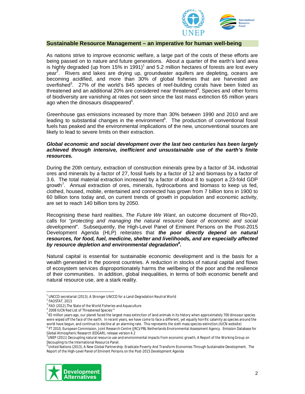

#### **Sustainable Resource Management – an imperative for human well-being**

As nations strive to improve economic welfare, a large part of the costs of these efforts are being passed on to nature and future generations. About a quarter of the earth's land area is highly degraded (up from 15% in 1991)<sup>1</sup> and 5.2 million hectares of forests are lost every year<sup>2</sup>. Rivers and lakes are drying up, groundwater aquifers are depleting, oceans are becoming acidified, and more than 30% of global fisheries that are harvested are overfished<sup>3</sup>. 27% of the world's 845 species of reef-building corals have been listed as threatened and an additional 20% are considered near threatened<sup>4</sup>. Species and other forms of biodiversity are vanishing at rates not seen since the last mass extinction 65 million years ago when the dinosaurs disappeared<sup>5</sup>.

Greenhouse gas emissions increased by more than 30% between 1990 and 2010 and are leading to substantial changes in the environment<sup>6</sup>. The production of conventional fossil fuels has peaked and the environmental implications of the new, unconventional sources are likely to lead to severe limits on their extraction.

#### *Global economic and social development over the last two centuries has been largely achieved through intensive, inefficient and unsustainable use of the earth's finite resources.*

During the 20th century, extraction of construction minerals grew by a factor of 34, industrial ores and minerals by a factor of 27, fossil fuels by a factor of 12 and biomass by a factor of 3.6. The total material extraction increased by a factor of about 8 to support a 23-fold GDP growth<sup>7</sup>. Annual extraction of ores, minerals, hydrocarbons and biomass to keep us fed, clothed, housed, mobile, entertained and connected has grown from 7 billion tons in 1900 to 60 billion tons today and, on current trends of growth in population and economic activity, are set to reach 140 billion tons by 2050.

Recognising these hard realities, *The Future We Want*, an outcome document of Rio+20, calls for "*protecting and managing the natural resource base of economic and social development*". Subsequently, the High-Level Panel of Eminent Persons on the Post-2015 Development Agenda (HLP) reiterates that *the poor directly depend on natural resources, for food, fuel, medicine, shelter and livelihoods, and are especially affected by resource depletion and environmental degradation<sup>8</sup> .* 

Natural capital is essential for sustainable economic development and is the basis for a wealth generated in the poorest countries. A reduction in stocks of natural capital and flows of ecosystem services disproportionately harms the wellbeing of the poor and the resilience of their communities. In addition, global inequalities, in terms of both economic benefit and natural resource use, are a stark reality.

**.** 

<sup>&</sup>lt;sup>8</sup> United Nations (2013), A New Global Partnership: Eradicate Poverty And Transform Economies Through Sustainable Development, The Report of the High-Level Panel of Eminent Persons on the Post-2015 Development Agenda



<sup>&</sup>lt;sup>1</sup> UNCCD secretariat (2013), A Stronger UNCCD for a Land-Degradation Neutral World

<sup>2</sup> FAOSTAT, 2013

 $3$  FAO (2012), The State of the World Fisheries and Aquaculture

<sup>4</sup> 2008 IUCN Red List of Threatened Species™

 $^5$  65 million years ago, our planet faced the largest mass extinction of land animals in its history when approximately 700 dinosaur species were wiped off the face of the earth. In recent years, we have come to face a different, yet equally horrific calamity as species around the world have begun, and continue to decline at an alarming rate. This represents the sixth mass species extinction.(IUCN website)

<sup>6</sup> FT 2010, European Commission, Joint Research Centre (JRC)/PBL Netherlands Environmental Assessment Agency. Emission Database for Global Atmospheric Research (EDGAR), release version 4.2

<sup>&</sup>lt;sup>7</sup>UNEP (2011) Decoupling natural resource use and environmental impacts from economic growth, A Report of the Working Group on Decoupling to the International Resource Panel.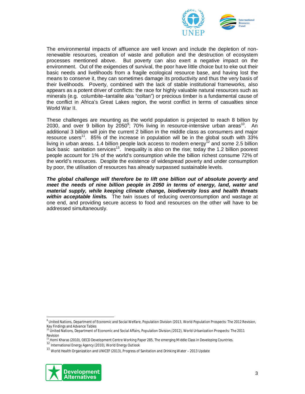

The environmental impacts of affluence are well known and include the depletion of nonrenewable resources, creation of waste and pollution and the destruction of ecosystem processes mentioned above. But poverty can also exert a negative impact on the environment. Out of the exigencies of survival, the poor have little choice but to eke out their basic needs and livelihoods from a fragile ecological resource base, and having lost the means to conserve it, they can sometimes damage its productivity and thus the very basis of their livelihoods. Poverty, combined with the lack of stable institutional frameworks, also appears as a potent driver of conflicts: the race for highly valuable natural resources such as minerals (e.g. columbite–tantalite aka "coltan") or precious timber is a fundamental cause of the conflict in Africa's Great Lakes region, the worst conflict in terms of casualties since World War II

These challenges are mounting as the world population is projected to reach 8 billion by 2030, and over 9 billion by 2050 $^{\circ}$ ; 70% living in resource-intensive urban areas<sup>10</sup>. An additional 3 billion will join the current 2 billion in the middle class as consumers and major resource users<sup>11</sup>. 85% of the increase in population will be in the global south with 33% living in urban areas. 1.4 billion people lack access to modern energy $^{12}$  and some 2.5 billion lack basic sanitation services<sup>13</sup>. Inequality is also on the rise; today the 1.2 billion poorest people account for 1% of the world's consumption while the billion richest consume 72% of the world's resources. Despite the existence of widespread poverty and under consumption by poor, the utilisation of resources has already surpassed sustainable levels.

*The global challenge will therefore be to lift one billion out of absolute poverty and*  meet the needs of nine billion people in 2050 in terms of energy, land, water and *material supply, while keeping climate change, biodiversity loss and health threats within acceptable limits.* The twin issues of reducing overconsumption and wastage at one end, and providing secure access to food and resources on the other will have to be addressed simultaneously.

<sup>13</sup> World Health Organization and UNICEF (2013), Progress of Sanitation and Drinking Water – 2013 Update



**.** 

<sup>9</sup> United Nations, Department of Economic and Social Welfare, Population Division (2013, World Population Prospects: The 2012 Revision, Key Findings and Advance Tables<br><sup>10</sup> United Nations, Department of Economic and Social Affairs, Population Division,(2012), World Urbanization Prospects: The 2011

Revision

<sup>&</sup>lt;sup>1</sup> Homi Kharas (2010), OECD Development Centre Working Paper 285, The emerging Middle Class in Developing Countries.

<sup>12</sup> International Energy Agency (2010), World Energy Outlook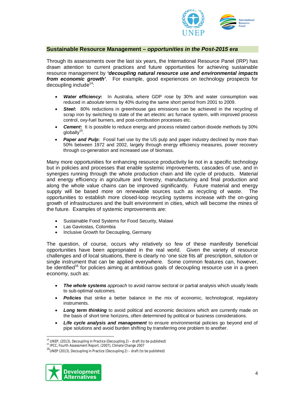

#### **Sustainable Resource Management –** *opportunities in the Post-2015 era*

Through its assessments over the last six years, the International Resource Panel (IRP) has drawn attention to current practices and future opportunities for achieving sustainable resource management by *'decoupling natural resource use and environmental impacts from economic growth'*. For example, good experiences on technology prospects for decoupling include<sup>14</sup>:

- *Water efficiency***:** In Australia, where GDP rose by 30% and water consumption was reduced in *absolute* terms by 40% during the same short period from 2001 to 2009.
- **Steel:** 80% reductions in greenhouse gas emissions can be achieved in the recycling of scrap iron by switching to state of the art electric arc furnace system, with improved process control, oxy-fuel burners, and post-combustion processes etc.
- *Cement***:** It is possible to reduce energy and process related carbon dioxide methods by 30% globally<sup>15</sup>.
- **Paper and Pulp:** Fossil fuel use by the US pulp and paper industry declined by more than 50% between 1972 and 2002, largely through energy efficiency measures, power recovery through co-generation and increased use of biomass.

Many more opportunities for enhancing resource productivity lie not in a specific technology but in policies and processes that enable systemic improvements, cascades of use, and in synergies running through the whole production chain and life cycle of products. Material and energy efficiency in agriculture and forestry, manufacturing and final production and along the whole value chains can be improved significantly. Future material and energy supply will be based more on renewable sources such as recycling of waste. The opportunities to establish more closed-loop recycling systems increase with the on-going growth of infrastructures and the built environment in cities, which will become the mines of the future. Examples of systemic improvements are:

- Sustainable Food Systems for Food Security, Malawi
- Las Gaviostas, Colombia
- Inclusive Growth for Decoupling, Germany

The question, of course, occurs why relatively so few of these manifestly beneficial opportunities have been appropriated in the real world. Given the variety of resource challenges and of local situations, there is clearly no 'one size fits all' prescription, solution or single instrument that can be applied everywhere. Some common features can, however, be identified<sup>16</sup> for policies aiming at ambitious goals of decoupling resource use in a green economy, such as:

- *The whole systems approach* to avoid narrow sectoral or partial analysis which usually leads to sub-optimal outcomes.
- **Policies** that strike a better balance in the mix of economic, technological, regulatory instruments.
- *Long term thinking* to avoid political and economic decisions which are currently made on the basis of short time horizons, often determined by political or business considerations.
- *Life cycle analysis and management* to ensure environmental policies go beyond end of pipe solutions and avoid burden shifting by transferring one problem to another.

<sup>16</sup>UNEP (2013), Decoupling in Practice (Decoupling 2) – *draft (to be published)*



1

<sup>14</sup> UNEP, (2013), Decoupling in Practice (Decoupling 2) – *draft (to be published)*

<sup>15</sup> IPCC, Fourth Assessment Report, (2007), Climate Change 2007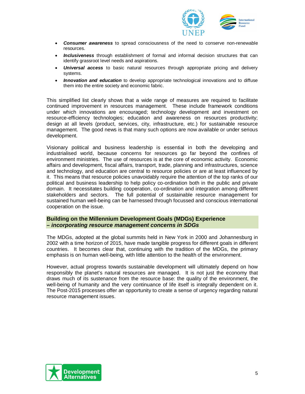

- *Consumer awareness* to spread consciousness of the need to conserve non-renewable resources.
- *Inclusiveness* through establishment of formal and informal decision structures that can identify grassroot level needs and aspirations.
- **Universal access** to basic natural resources through appropriate pricing and delivery systems.
- *Innovation and education* to develop appropriate technological innovations and to diffuse them into the entire society and economic fabric.

This simplified list clearly shows that a wide range of measures are required to facilitate continued improvement in resources management. These include framework conditions under which innovations are encouraged; technology development and investment on resource-efficiency technologies; education and awareness on resources productivity; design at all levels (product, services, city, infrastructure, etc.) for sustainable resource management. The good news is that many such options are now available or under serious development.

Visionary political and business leadership is essential in both the developing and industrialised world, because concerns for resources go far beyond the confines of environment ministries. The use of resources is at the core of economic activity. Economic affairs and development, fiscal affairs, transport, trade, planning and infrastructures, science and technology, and education are central to resource policies or are at least influenced by it. This means that resource policies unavoidably require the attention of the top ranks of our political and business leadership to help policy co-ordination both in the public and private domain. It necessitates building cooperation, co-ordination and integration among different stakeholders and sectors. The full potential of sustainable resource management for sustained human well-being can be harnessed through focussed and conscious international cooperation on the issue.

## **Building on the Millennium Development Goals (MDGs) Experience –** *incorporating resource management concerns in SDGs*

The MDGs, adopted at the global summits held in New York in 2000 and Johannesburg in 2002 with a time horizon of 2015, have made tangible progress for different goals in different countries. It becomes clear that, continuing with the tradition of the MDGs, the primary emphasis is on human well-being, with little attention to the health of the environment.

However, actual progress towards sustainable development will ultimately depend on how responsibly the planet's natural resources are managed. It is not just the economy that draws much of its sustenance from the resource base: the quality of the environment, the well-being of humanity and the very continuance of life itself is integrally dependent on it. The Post-2015 processes offer an opportunity to create a sense of urgency regarding natural resource management issues.

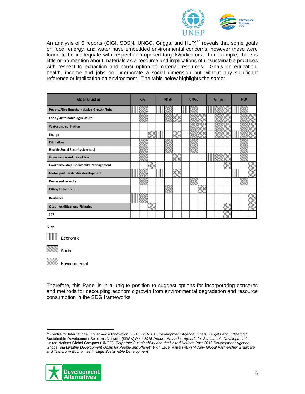

An analysis of 5 reports (CIGI, SDSN, UNGC, Griggs, and  $HLP$ )<sup>17</sup> reveals that some goals on food, energy, and water have embedded environmental concerns, however these were found to be inadequate with respect to proposed targets/indicators. For example, there is little or no mention about materials as a resource and implications of unsustainable practices with respect to extraction and consumption of material resources. Goals on education, health, income and jobs do incorporate a social dimension but without any significant reference or implication on environment. The table below highlights the same:

| <b>Goal Cluster</b>                       | <b>CIGI</b> |  |  | <b>SDSN</b> |  |  | <b>UNGC</b> |  | <b>Griggs</b> |   | <b>HLP</b> |  |  |  |  |
|-------------------------------------------|-------------|--|--|-------------|--|--|-------------|--|---------------|---|------------|--|--|--|--|
| Poverty/Livelihoods/Inclusive Growth/Jobs |             |  |  | ┉           |  |  | ┉           |  |               | ┉ |            |  |  |  |  |
| Food /Sustainable Agriculture             |             |  |  |             |  |  |             |  |               |   |            |  |  |  |  |
| <b>Water and sanitation</b>               |             |  |  |             |  |  |             |  |               |   |            |  |  |  |  |
| <b>Energy</b>                             |             |  |  |             |  |  |             |  |               |   |            |  |  |  |  |
| <b>Education</b>                          |             |  |  |             |  |  |             |  |               |   |            |  |  |  |  |
| <b>Health (Social Security Services)</b>  |             |  |  |             |  |  |             |  |               |   |            |  |  |  |  |
| Governance and rule of law                |             |  |  |             |  |  |             |  |               |   |            |  |  |  |  |
| Environmental/Biodiversity Management     |             |  |  |             |  |  |             |  |               |   |            |  |  |  |  |
| Global partnership for development        |             |  |  |             |  |  |             |  |               |   |            |  |  |  |  |
| Peace and security                        |             |  |  |             |  |  |             |  |               |   |            |  |  |  |  |
| <b>Cities/ Urbanisation</b>               |             |  |  |             |  |  |             |  |               |   |            |  |  |  |  |
| Resilience                                |             |  |  |             |  |  |             |  |               |   |            |  |  |  |  |
| <b>Ocean Acidification/ Fisheries</b>     |             |  |  |             |  |  |             |  |               |   |            |  |  |  |  |
| <b>SCP</b>                                |             |  |  |             |  |  |             |  |               |   |            |  |  |  |  |

Key:

**.** 

**Economic** 



**Environmental** 

Therefore, this Panel is in a unique position to suggest options for incorporating concerns and methods for decoupling economic growth from environmental degradation and resource consumption in the SDG frameworks.

<sup>17</sup> Centre for International Governance Innovation (CIGI*)'Post-2015 Development Agenda: Goals, Targets and Indicators'*; Sustainable Development Solutions Network (SDSN)'*Post-2015 Report: An Action Agenda for Sustainable Development'*; United Nations Global Compact (UNGC) *'Corporate Sustainability and the United Nations Post-2015 Development Agenda;* Griggs *'Sustainable Development Goals for People and Planet';* High Level Panel (HLP) '*A New Global Partnership: Eradicate and Transform Economies through Sustainable Development'.*

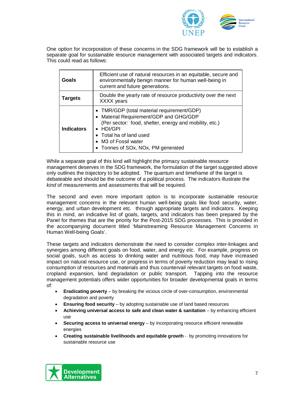

One option for incorporation of these concerns in the SDG framework will be to establish a separate goal for sustainable resource management with associated targets and indicators. This could read as follows:

| Goals             | Efficient use of natural resources in an equitable, secure and<br>environmentally benign manner for human well-being in<br>current and future generations.                                                                                                   |
|-------------------|--------------------------------------------------------------------------------------------------------------------------------------------------------------------------------------------------------------------------------------------------------------|
| <b>Targets</b>    | Double the yearly rate of resource productivity over the next<br>XXXX years                                                                                                                                                                                  |
| <b>Indicators</b> | • TMR/GDP (total material requirement/GDP)<br>• Material Requirement/GDP and GHG/GDP<br>(Per sector: food, shelter, energy and mobility, etc.)<br>$\bullet$ HDI/GPI<br>• Total ha of land used<br>• M3 of Fossil water<br>• Tonnes of SOx, NOx, PM generated |

While a separate goal of this kind will highlight the primacy sustainable resource management deserves in the SDG framework, the formulation of the target suggested above only outlines the trajectory to be adopted. The quantum and timeframe of the target is debateable and should be the outcome of a political process. The indicators illustrate the *kind* of measurements and assessments that will be required.

The second and even more important option is to incorporate sustainable resource management concerns in the relevant human well-being goals like food security, water, energy, and urban development etc. through appropriate targets and indicators. Keeping this in mind, an indicative list of goals, targets, and indicators has been prepared by the Panel for themes that are the priority for the Post-2015 SDG processes. This is provided in the accompanying document titled 'Mainstreaming Resource Management Concerns in Human Well-being Goals'.

These targets and indicators demonstrate the need to consider complex inter-linkages and synergies among different goals on food, water, and energy etc. For example, progress on social goals, such as access to drinking water and nutritious food, may have increased impact on natural resource use, or progress in terms of poverty reduction may lead to rising consumption of resources and materials and thus countervail relevant targets on food waste, cropland expansion, land degradation or public transport. Tapping into the resource management potentials offers wider opportunities for broader developmental goals in terms of:

- **Eradicating poverty** by breaking the vicious circle of over-consumption, environmental degradation and poverty
- **Ensuring food security** by adopting sustainable use of land based resources
- **Achieving universal access to safe and clean water & sanitation** by enhancing efficient use
- **Securing access to universal energy** by incorporating resource efficient renewable energies
- **Creating sustainable livelihoods and equitable growth** by promoting innovations for sustainable resource use

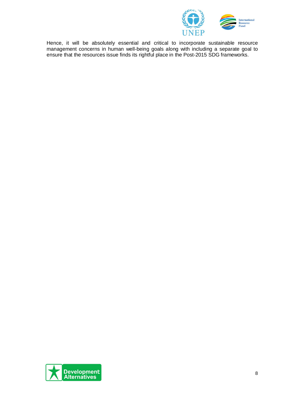

Hence, it will be absolutely essential and critical to incorporate sustainable resource management concerns in human well-being goals along with including a separate goal to ensure that the resources issue finds its rightful place in the Post-2015 SDG frameworks.

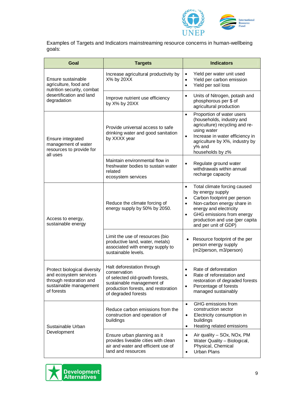

Examples of Targets and Indicators mainstreaming resource concerns in human-wellbeing goals:

| Goal                                                                                                                      | <b>Targets</b>                                                                                                                                                           | <b>Indicators</b>                                                                                                                                                                                                                                                          |  |  |  |  |
|---------------------------------------------------------------------------------------------------------------------------|--------------------------------------------------------------------------------------------------------------------------------------------------------------------------|----------------------------------------------------------------------------------------------------------------------------------------------------------------------------------------------------------------------------------------------------------------------------|--|--|--|--|
| Ensure sustainable<br>agriculture, food and<br>nutrition security, combat                                                 | Increase agricultural productivity by<br>X% by 20XX                                                                                                                      | Yield per water unit used<br>$\bullet$<br>Yield per carbon emission<br>$\bullet$<br>Yield per soil loss<br>$\bullet$                                                                                                                                                       |  |  |  |  |
| desertification and land<br>degradation                                                                                   | Improve nutrient use efficiency<br>by X% by 20XX                                                                                                                         | Units of Nitrogen, potash and<br>$\bullet$<br>phosphorous per \$ of<br>agricultural production                                                                                                                                                                             |  |  |  |  |
| Ensure integrated<br>management of water<br>resources to provide for<br>all uses                                          | Provide universal access to safe<br>drinking water and good sanitation<br>by XXXX year                                                                                   | Proportion of water users<br>$\bullet$<br>(households, industry and<br>agriculture) recycling and re-<br>using water<br>Increase in water efficiency in<br>$\bullet$<br>agriculture by X%, industry by<br>y% and<br>households by z%                                       |  |  |  |  |
|                                                                                                                           | Maintain environmental flow in<br>freshwater bodies to sustain water<br>related<br>ecosystem services                                                                    | Regulate ground water<br>$\bullet$<br>withdrawals within annual<br>recharge capacity                                                                                                                                                                                       |  |  |  |  |
| Access to energy,<br>sustainable energy                                                                                   | Reduce the climate forcing of<br>energy supply by 50% by 2050.                                                                                                           | Total climate forcing caused<br>$\bullet$<br>by energy supply<br>Carbon footprint per person<br>$\bullet$<br>Non-carbon energy share in<br>$\bullet$<br>energy and electricity<br>GHG emissions from energy<br>٠<br>production and use (per capita<br>and per unit of GDP) |  |  |  |  |
|                                                                                                                           | Limit the use of resources (bio<br>productive land, water, metals)<br>associated with energy supply to<br>sustainable levels.                                            | Resource footprint of the per<br>person energy supply<br>(m2/person, m3/person)                                                                                                                                                                                            |  |  |  |  |
| Protect biological diversity<br>and ecosystem services<br>through restoration and<br>sustainable management<br>of forests | Halt deforestation through<br>conservation<br>of selected old-growth forests,<br>sustainable management of<br>production forests, and restoration<br>of degraded forests | Rate of deforestation<br>Rate of reforestation and<br>restoration of degraded forests<br>Percentage of forests<br>$\bullet$<br>managed sustainably                                                                                                                         |  |  |  |  |
| Sustainable Urban                                                                                                         | Reduce carbon emissions from the<br>construction and operation of<br>buildings                                                                                           | GHG emissions from<br>$\bullet$<br>construction sector<br>Electricity consumption in<br>$\bullet$<br>buildings<br>Heating related emissions<br>$\bullet$                                                                                                                   |  |  |  |  |
| Development                                                                                                               | Ensure urban planning as it<br>provides liveable cities with clean<br>air and water and efficient use of<br>land and resources                                           | Air quality - SOx, NOx, PM<br>$\bullet$<br>Water Quality - Biological,<br>$\bullet$<br>Physical, Chemical<br><b>Urban Plans</b><br>$\bullet$                                                                                                                               |  |  |  |  |